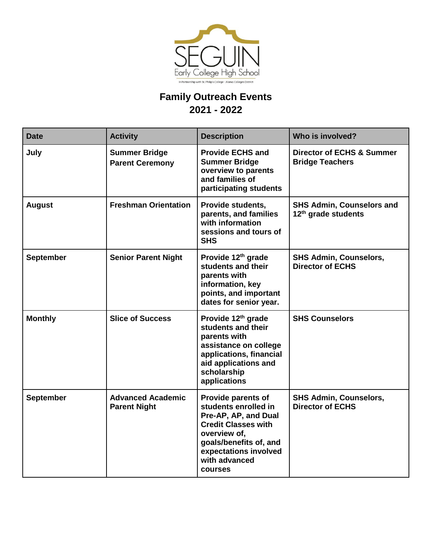

## **Family Outreach Events 2021 - 2022**

| <b>Date</b>      | <b>Activity</b>                                 | <b>Description</b>                                                                                                                                                                                     | Who is involved?                                                    |
|------------------|-------------------------------------------------|--------------------------------------------------------------------------------------------------------------------------------------------------------------------------------------------------------|---------------------------------------------------------------------|
| July             | <b>Summer Bridge</b><br><b>Parent Ceremony</b>  | <b>Provide ECHS and</b><br><b>Summer Bridge</b><br>overview to parents<br>and families of<br>participating students                                                                                    | <b>Director of ECHS &amp; Summer</b><br><b>Bridge Teachers</b>      |
| <b>August</b>    | <b>Freshman Orientation</b>                     | Provide students,<br>parents, and families<br>with information<br>sessions and tours of<br><b>SHS</b>                                                                                                  | <b>SHS Admin, Counselors and</b><br>12 <sup>th</sup> grade students |
| <b>September</b> | <b>Senior Parent Night</b>                      | Provide 12 <sup>th</sup> grade<br>students and their<br>parents with<br>information, key<br>points, and important<br>dates for senior year.                                                            | <b>SHS Admin, Counselors,</b><br><b>Director of ECHS</b>            |
| <b>Monthly</b>   | <b>Slice of Success</b>                         | Provide 12 <sup>th</sup> grade<br>students and their<br>parents with<br>assistance on college<br>applications, financial<br>aid applications and<br>scholarship<br>applications                        | <b>SHS Counselors</b>                                               |
| <b>September</b> | <b>Advanced Academic</b><br><b>Parent Night</b> | <b>Provide parents of</b><br>students enrolled in<br>Pre-AP, AP, and Dual<br><b>Credit Classes with</b><br>overview of,<br>goals/benefits of, and<br>expectations involved<br>with advanced<br>courses | <b>SHS Admin, Counselors,</b><br><b>Director of ECHS</b>            |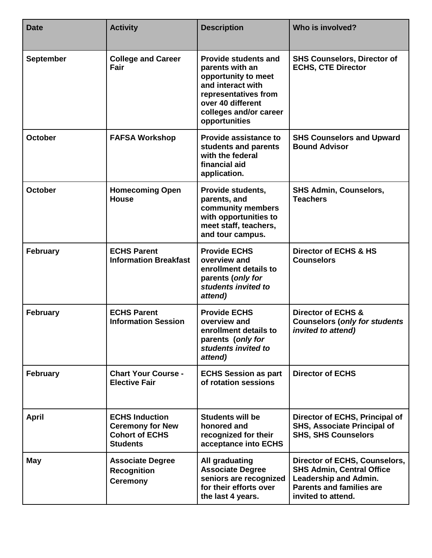| <b>Date</b>      | <b>Activity</b>                                                                              | <b>Description</b>                                                                                                                                                                 | Who is involved?                                                                                                                                           |
|------------------|----------------------------------------------------------------------------------------------|------------------------------------------------------------------------------------------------------------------------------------------------------------------------------------|------------------------------------------------------------------------------------------------------------------------------------------------------------|
| <b>September</b> | <b>College and Career</b><br>Fair                                                            | <b>Provide students and</b><br>parents with an<br>opportunity to meet<br>and interact with<br>representatives from<br>over 40 different<br>colleges and/or career<br>opportunities | <b>SHS Counselors, Director of</b><br><b>ECHS, CTE Director</b>                                                                                            |
| <b>October</b>   | <b>FAFSA Workshop</b>                                                                        | <b>Provide assistance to</b><br>students and parents<br>with the federal<br>financial aid<br>application.                                                                          | <b>SHS Counselors and Upward</b><br><b>Bound Advisor</b>                                                                                                   |
| October          | <b>Homecoming Open</b><br><b>House</b>                                                       | Provide students,<br>parents, and<br>community members<br>with opportunities to<br>meet staff, teachers,<br>and tour campus.                                                       | <b>SHS Admin, Counselors,</b><br><b>Teachers</b>                                                                                                           |
| <b>February</b>  | <b>ECHS Parent</b><br><b>Information Breakfast</b>                                           | <b>Provide ECHS</b><br>overview and<br>enrollment details to<br>parents (only for<br>students invited to<br>attend)                                                                | <b>Director of ECHS &amp; HS</b><br><b>Counselors</b>                                                                                                      |
| <b>February</b>  | <b>ECHS Parent</b><br><b>Information Session</b>                                             | <b>Provide ECHS</b><br>overview and<br>enrollment details to<br>parents (only for<br>students invited to<br>attend)                                                                | <b>Director of ECHS &amp;</b><br><b>Counselors (only for students</b><br>invited to attend)                                                                |
| <b>February</b>  | <b>Chart Your Course -</b><br><b>Elective Fair</b>                                           | <b>ECHS Session as part</b><br>of rotation sessions                                                                                                                                | <b>Director of ECHS</b>                                                                                                                                    |
| <b>April</b>     | <b>ECHS Induction</b><br><b>Ceremony for New</b><br><b>Cohort of ECHS</b><br><b>Students</b> | <b>Students will be</b><br>honored and<br>recognized for their<br>acceptance into ECHS                                                                                             | Director of ECHS, Principal of<br><b>SHS, Associate Principal of</b><br><b>SHS, SHS Counselors</b>                                                         |
| May              | <b>Associate Degree</b><br><b>Recognition</b><br><b>Ceremony</b>                             | All graduating<br><b>Associate Degree</b><br>seniors are recognized<br>for their efforts over<br>the last 4 years.                                                                 | Director of ECHS, Counselors,<br><b>SHS Admin, Central Office</b><br><b>Leadership and Admin.</b><br><b>Parents and families are</b><br>invited to attend. |